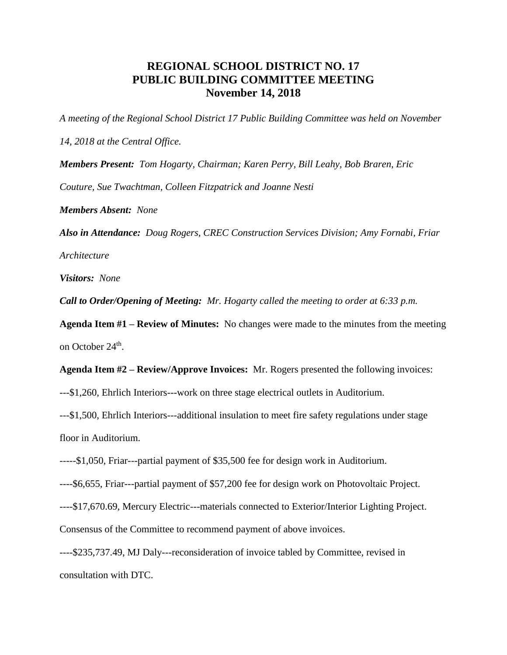## **REGIONAL SCHOOL DISTRICT NO. 17 PUBLIC BUILDING COMMITTEE MEETING November 14, 2018**

*A meeting of the Regional School District 17 Public Building Committee was held on November* 

*14, 2018 at the Central Office.*

*Members Present: Tom Hogarty, Chairman; Karen Perry, Bill Leahy, Bob Braren, Eric Couture, Sue Twachtman, Colleen Fitzpatrick and Joanne Nesti*

*Members Absent: None*

*Also in Attendance: Doug Rogers, CREC Construction Services Division; Amy Fornabi, Friar Architecture*

*Visitors: None*

*Call to Order/Opening of Meeting: Mr. Hogarty called the meeting to order at 6:33 p.m.*

**Agenda Item #1 – Review of Minutes:** No changes were made to the minutes from the meeting on October 24<sup>th</sup>.

**Agenda Item #2 – Review/Approve Invoices:** Mr. Rogers presented the following invoices:

---\$1,260, Ehrlich Interiors---work on three stage electrical outlets in Auditorium.

---\$1,500, Ehrlich Interiors---additional insulation to meet fire safety regulations under stage floor in Auditorium.

-----\$1,050, Friar---partial payment of \$35,500 fee for design work in Auditorium.

----\$6,655, Friar---partial payment of \$57,200 fee for design work on Photovoltaic Project.

----\$17,670.69, Mercury Electric---materials connected to Exterior/Interior Lighting Project.

Consensus of the Committee to recommend payment of above invoices.

----\$235,737.49, MJ Daly---reconsideration of invoice tabled by Committee, revised in consultation with DTC.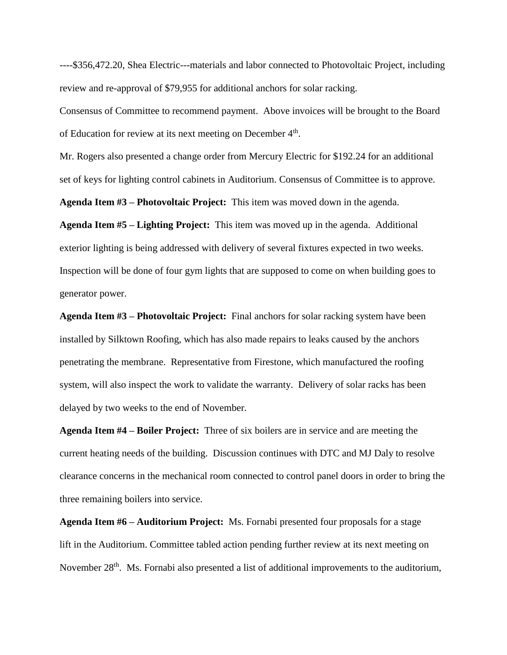----\$356,472.20, Shea Electric---materials and labor connected to Photovoltaic Project, including review and re-approval of \$79,955 for additional anchors for solar racking.

Consensus of Committee to recommend payment. Above invoices will be brought to the Board of Education for review at its next meeting on December 4<sup>th</sup>.

Mr. Rogers also presented a change order from Mercury Electric for \$192.24 for an additional set of keys for lighting control cabinets in Auditorium. Consensus of Committee is to approve.

**Agenda Item #3 – Photovoltaic Project:** This item was moved down in the agenda.

**Agenda Item #5 – Lighting Project:** This item was moved up in the agenda. Additional exterior lighting is being addressed with delivery of several fixtures expected in two weeks. Inspection will be done of four gym lights that are supposed to come on when building goes to generator power.

**Agenda Item #3 – Photovoltaic Project:** Final anchors for solar racking system have been installed by Silktown Roofing, which has also made repairs to leaks caused by the anchors penetrating the membrane. Representative from Firestone, which manufactured the roofing system, will also inspect the work to validate the warranty. Delivery of solar racks has been delayed by two weeks to the end of November.

**Agenda Item #4 – Boiler Project:** Three of six boilers are in service and are meeting the current heating needs of the building. Discussion continues with DTC and MJ Daly to resolve clearance concerns in the mechanical room connected to control panel doors in order to bring the three remaining boilers into service.

**Agenda Item #6 – Auditorium Project:** Ms. Fornabi presented four proposals for a stage lift in the Auditorium. Committee tabled action pending further review at its next meeting on November 28<sup>th</sup>. Ms. Fornabi also presented a list of additional improvements to the auditorium,